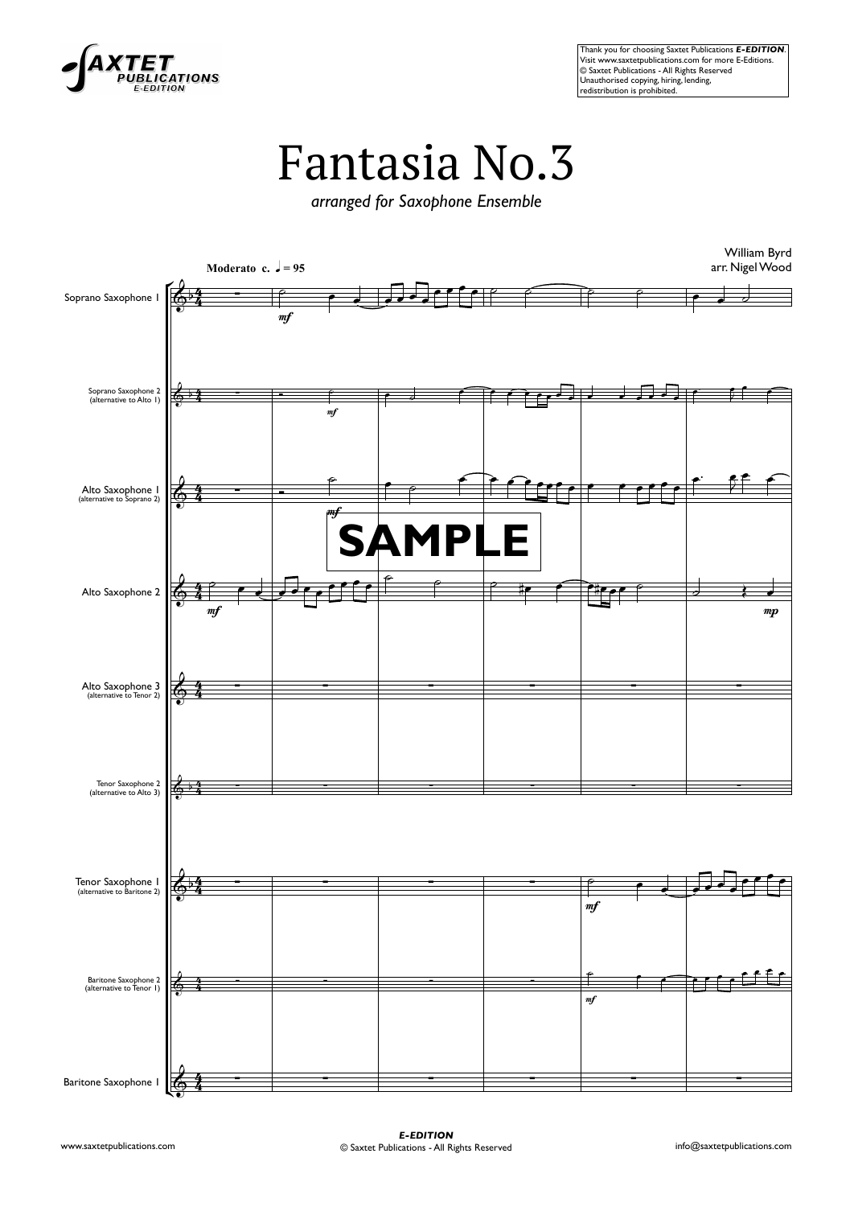

Thank you for choosing Saxtet Publications *E-EDITION*. VisitWatter www.saxtetpublications.com for more E-Editions.<br>Wisit www.saxtetpublications.com for more E-Editions.<br>© Saxtet Publications - All Rights Reserved **Contract Productions - 7 and regins redistribution is prohibited.**<br> **Commutherised copying, hiring, lending,**<br>
redistribution is prohibited.

## Fantasia No.3

*arranged for Saxophone Ensemble*

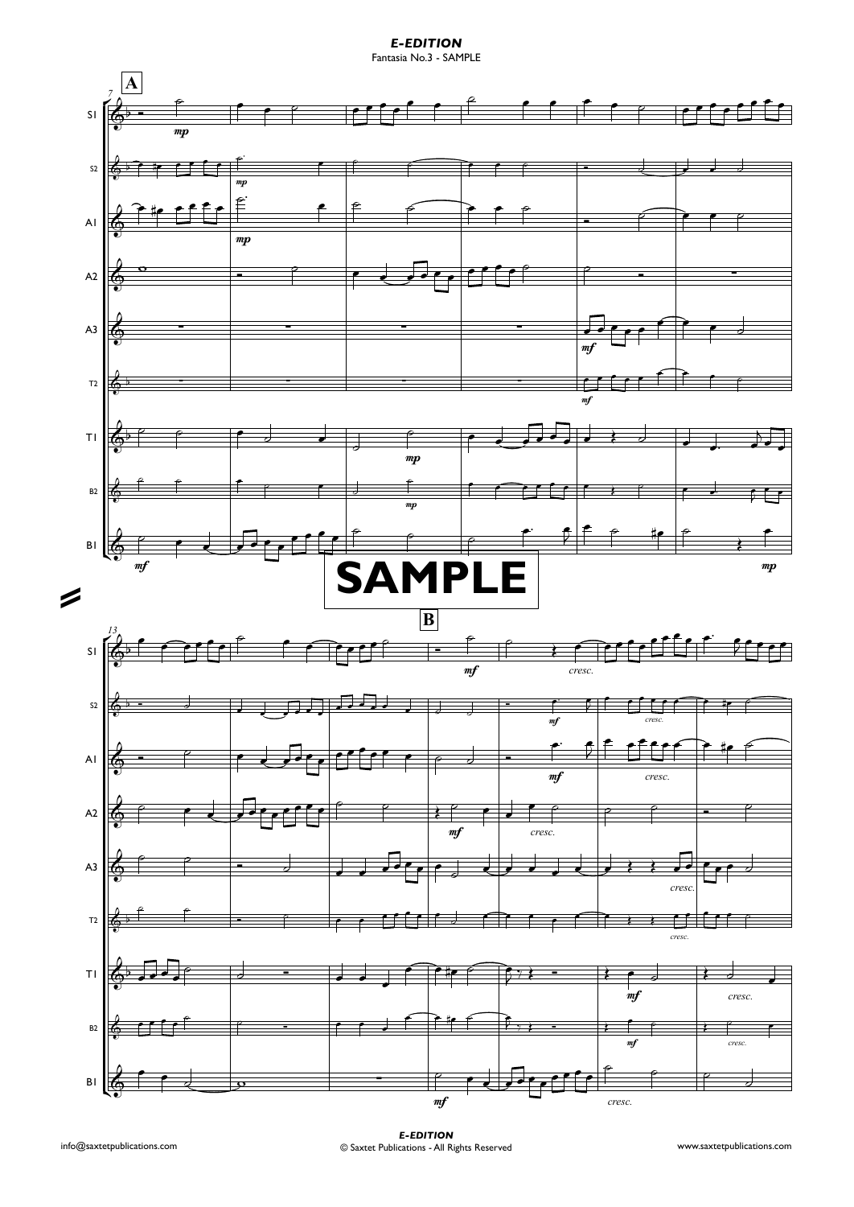*E-EDITION*Fantasia No.3 - SAMPLE

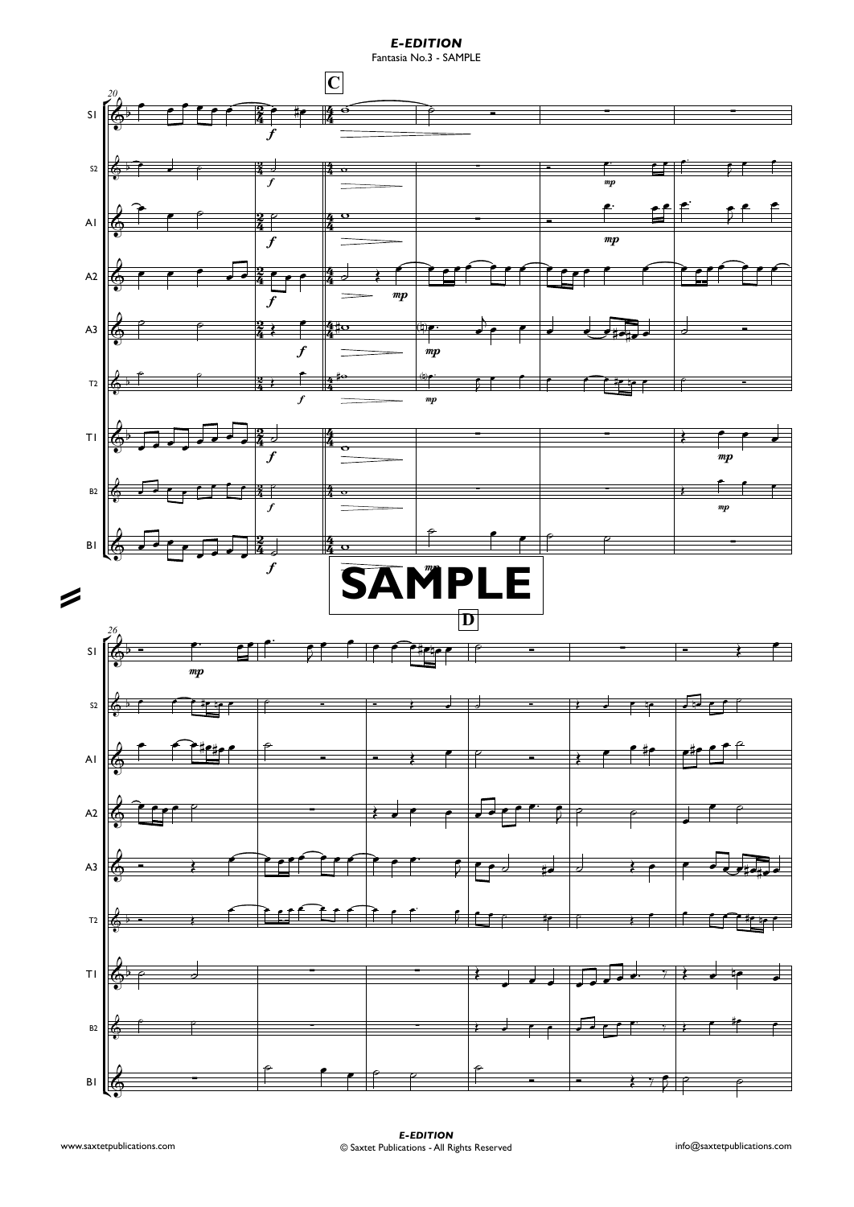*E-EDITION*

Fantasia No.3 - SAMPLE